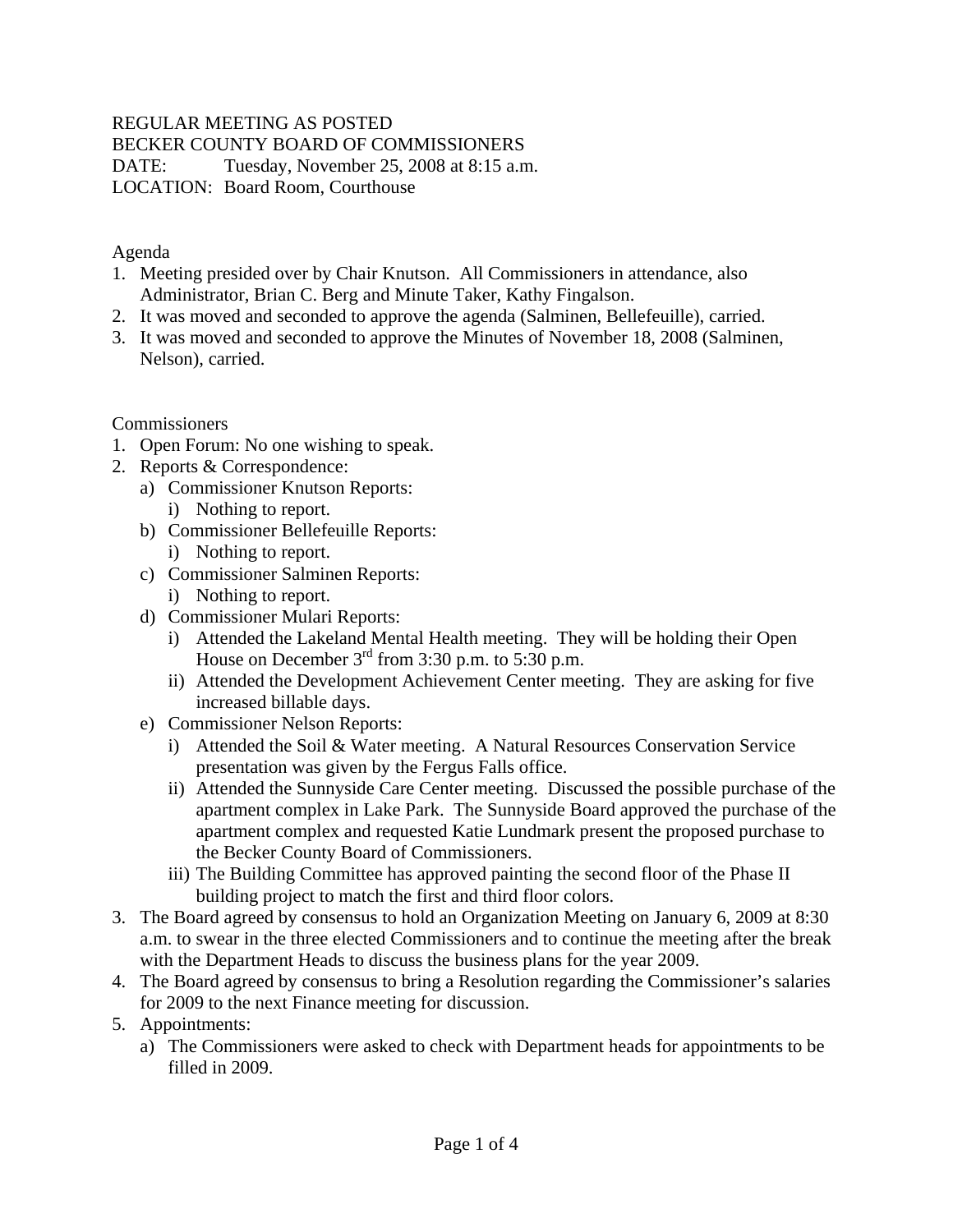## REGULAR MEETING AS POSTED

BECKER COUNTY BOARD OF COMMISSIONERS

DATE: Tuesday, November 25, 2008 at 8:15 a.m. LOCATION: Board Room, Courthouse

Agenda

- 1. Meeting presided over by Chair Knutson. All Commissioners in attendance, also Administrator, Brian C. Berg and Minute Taker, Kathy Fingalson.
- 2. It was moved and seconded to approve the agenda (Salminen, Bellefeuille), carried.
- 3. It was moved and seconded to approve the Minutes of November 18, 2008 (Salminen, Nelson), carried.

Commissioners

- 1. Open Forum: No one wishing to speak.
- 2. Reports & Correspondence:
	- a) Commissioner Knutson Reports: i) Nothing to report.
	- b) Commissioner Bellefeuille Reports:
		- i) Nothing to report.
	- c) Commissioner Salminen Reports:
		- i) Nothing to report.
	- d) Commissioner Mulari Reports:
		- i) Attended the Lakeland Mental Health meeting. They will be holding their Open House on December  $3<sup>rd</sup>$  from 3:30 p.m. to 5:30 p.m.
		- ii) Attended the Development Achievement Center meeting. They are asking for five increased billable days.
	- e) Commissioner Nelson Reports:
		- i) Attended the Soil & Water meeting. A Natural Resources Conservation Service presentation was given by the Fergus Falls office.
		- ii) Attended the Sunnyside Care Center meeting. Discussed the possible purchase of the apartment complex in Lake Park. The Sunnyside Board approved the purchase of the apartment complex and requested Katie Lundmark present the proposed purchase to the Becker County Board of Commissioners.
		- iii) The Building Committee has approved painting the second floor of the Phase II building project to match the first and third floor colors.
- 3. The Board agreed by consensus to hold an Organization Meeting on January 6, 2009 at 8:30 a.m. to swear in the three elected Commissioners and to continue the meeting after the break with the Department Heads to discuss the business plans for the year 2009.
- 4. The Board agreed by consensus to bring a Resolution regarding the Commissioner's salaries for 2009 to the next Finance meeting for discussion.
- 5. Appointments:
	- a) The Commissioners were asked to check with Department heads for appointments to be filled in 2009.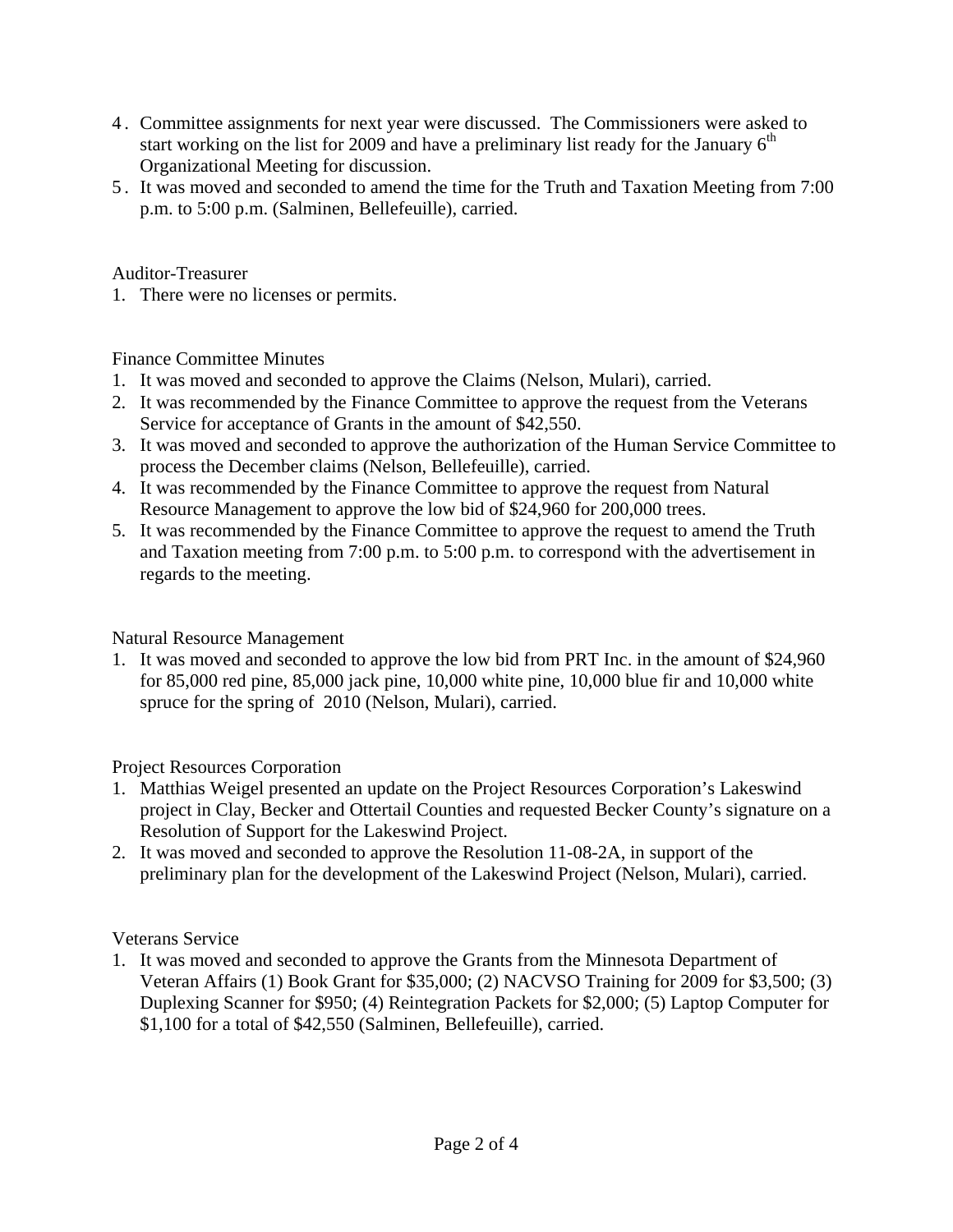- 4 . Committee assignments for next year were discussed. The Commissioners were asked to start working on the list for 2009 and have a preliminary list ready for the January  $6<sup>th</sup>$ Organizational Meeting for discussion.
- 5 . It was moved and seconded to amend the time for the Truth and Taxation Meeting from 7:00 p.m. to 5:00 p.m. (Salminen, Bellefeuille), carried.

Auditor-Treasurer

1. There were no licenses or permits.

Finance Committee Minutes

- 1. It was moved and seconded to approve the Claims (Nelson, Mulari), carried.
- 2. It was recommended by the Finance Committee to approve the request from the Veterans Service for acceptance of Grants in the amount of \$42,550.
- 3. It was moved and seconded to approve the authorization of the Human Service Committee to process the December claims (Nelson, Bellefeuille), carried.
- 4. It was recommended by the Finance Committee to approve the request from Natural Resource Management to approve the low bid of \$24,960 for 200,000 trees.
- 5. It was recommended by the Finance Committee to approve the request to amend the Truth and Taxation meeting from 7:00 p.m. to 5:00 p.m. to correspond with the advertisement in regards to the meeting.

## Natural Resource Management

1. It was moved and seconded to approve the low bid from PRT Inc. in the amount of \$24,960 for 85,000 red pine, 85,000 jack pine, 10,000 white pine, 10,000 blue fir and 10,000 white spruce for the spring of 2010 (Nelson, Mulari), carried.

Project Resources Corporation

- 1. Matthias Weigel presented an update on the Project Resources Corporation's Lakeswind project in Clay, Becker and Ottertail Counties and requested Becker County's signature on a Resolution of Support for the Lakeswind Project.
- 2. It was moved and seconded to approve the Resolution 11-08-2A, in support of the preliminary plan for the development of the Lakeswind Project (Nelson, Mulari), carried.

## Veterans Service

1. It was moved and seconded to approve the Grants from the Minnesota Department of Veteran Affairs (1) Book Grant for \$35,000; (2) NACVSO Training for 2009 for \$3,500; (3) Duplexing Scanner for \$950; (4) Reintegration Packets for \$2,000; (5) Laptop Computer for \$1,100 for a total of \$42,550 (Salminen, Bellefeuille), carried.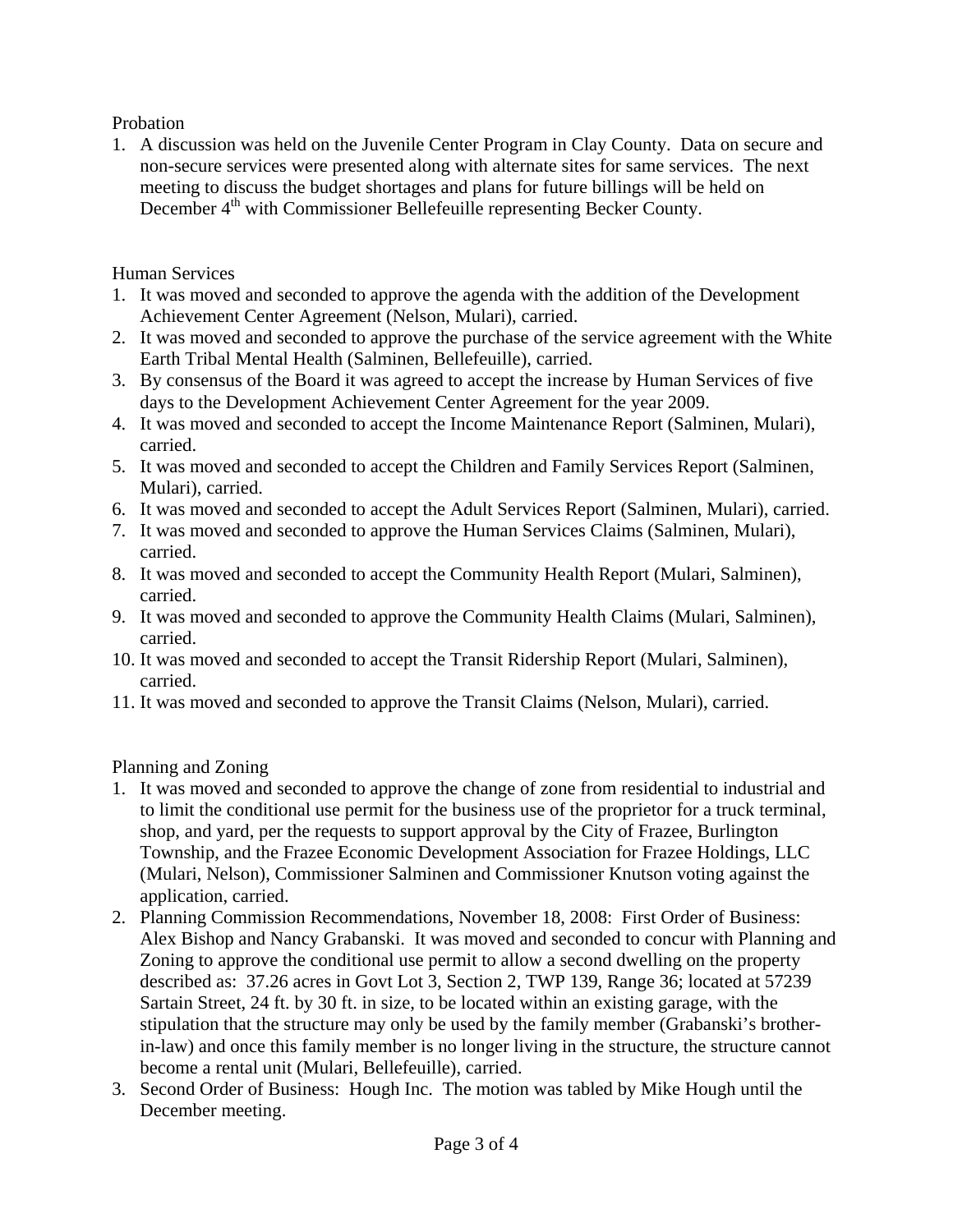Probation

1. A discussion was held on the Juvenile Center Program in Clay County. Data on secure and non-secure services were presented along with alternate sites for same services. The next meeting to discuss the budget shortages and plans for future billings will be held on December 4<sup>th</sup> with Commissioner Bellefeuille representing Becker County.

Human Services

- 1. It was moved and seconded to approve the agenda with the addition of the Development Achievement Center Agreement (Nelson, Mulari), carried.
- 2. It was moved and seconded to approve the purchase of the service agreement with the White Earth Tribal Mental Health (Salminen, Bellefeuille), carried.
- 3. By consensus of the Board it was agreed to accept the increase by Human Services of five days to the Development Achievement Center Agreement for the year 2009.
- 4. It was moved and seconded to accept the Income Maintenance Report (Salminen, Mulari), carried.
- 5. It was moved and seconded to accept the Children and Family Services Report (Salminen, Mulari), carried.
- 6. It was moved and seconded to accept the Adult Services Report (Salminen, Mulari), carried.
- 7. It was moved and seconded to approve the Human Services Claims (Salminen, Mulari), carried.
- 8. It was moved and seconded to accept the Community Health Report (Mulari, Salminen), carried.
- 9. It was moved and seconded to approve the Community Health Claims (Mulari, Salminen), carried.
- 10. It was moved and seconded to accept the Transit Ridership Report (Mulari, Salminen), carried.
- 11. It was moved and seconded to approve the Transit Claims (Nelson, Mulari), carried.

Planning and Zoning

- 1. It was moved and seconded to approve the change of zone from residential to industrial and to limit the conditional use permit for the business use of the proprietor for a truck terminal, shop, and yard, per the requests to support approval by the City of Frazee, Burlington Township, and the Frazee Economic Development Association for Frazee Holdings, LLC (Mulari, Nelson), Commissioner Salminen and Commissioner Knutson voting against the application, carried.
- 2. Planning Commission Recommendations, November 18, 2008: First Order of Business: Alex Bishop and Nancy Grabanski. It was moved and seconded to concur with Planning and Zoning to approve the conditional use permit to allow a second dwelling on the property described as: 37.26 acres in Govt Lot 3, Section 2, TWP 139, Range 36; located at 57239 Sartain Street, 24 ft. by 30 ft. in size, to be located within an existing garage, with the stipulation that the structure may only be used by the family member (Grabanski's brotherin-law) and once this family member is no longer living in the structure, the structure cannot become a rental unit (Mulari, Bellefeuille), carried.
- 3. Second Order of Business: Hough Inc. The motion was tabled by Mike Hough until the December meeting.